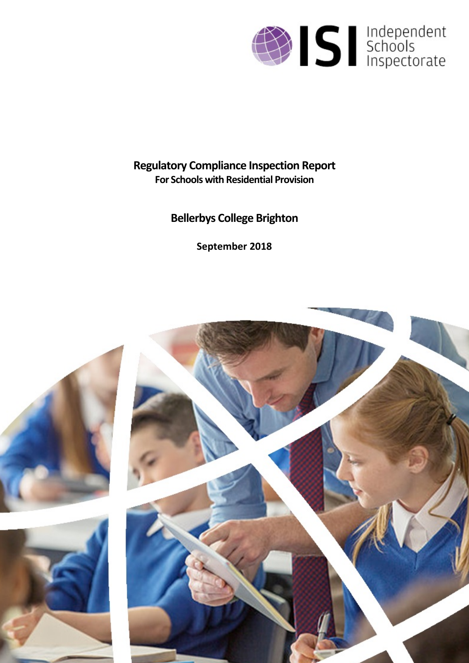

## **Regulatory Compliance Inspection Report For Schools with Residential Provision**

# **Bellerbys College Brighton**

**September 2018**

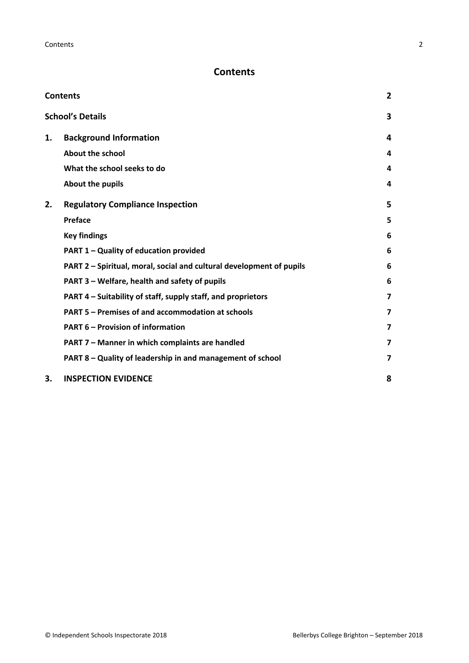## <span id="page-1-0"></span>**Contents**

| <b>Contents</b> |                                                                      |                         |
|-----------------|----------------------------------------------------------------------|-------------------------|
|                 | <b>School's Details</b>                                              | 3                       |
| 1.              | <b>Background Information</b>                                        | 4                       |
|                 | About the school                                                     | 4                       |
|                 | What the school seeks to do                                          | 4                       |
|                 | About the pupils                                                     | 4                       |
| 2.              | <b>Regulatory Compliance Inspection</b>                              | 5                       |
|                 | Preface                                                              | 5                       |
|                 | <b>Key findings</b>                                                  | 6                       |
|                 | PART 1 - Quality of education provided                               | 6                       |
|                 | PART 2 - Spiritual, moral, social and cultural development of pupils | 6                       |
|                 | PART 3 - Welfare, health and safety of pupils                        | 6                       |
|                 | PART 4 – Suitability of staff, supply staff, and proprietors         | $\overline{\mathbf{z}}$ |
|                 | PART 5 - Premises of and accommodation at schools                    | $\overline{7}$          |
|                 | <b>PART 6 - Provision of information</b>                             | $\overline{7}$          |
|                 | PART 7 - Manner in which complaints are handled                      | $\overline{\mathbf{z}}$ |
|                 | PART 8 - Quality of leadership in and management of school           | $\overline{\mathbf{z}}$ |
| 3.              | <b>INSPECTION EVIDENCE</b>                                           | 8                       |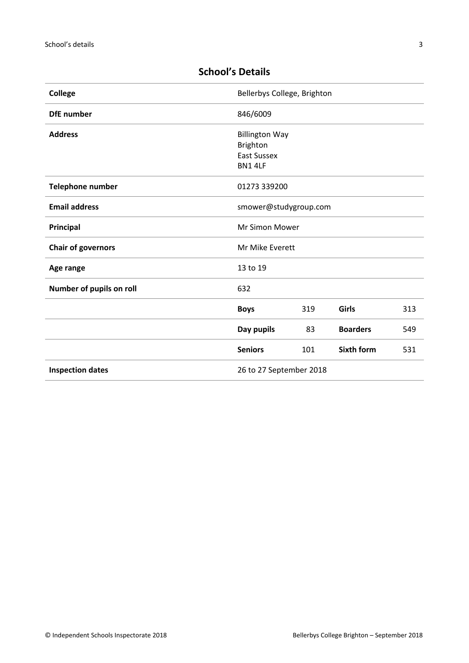| <b>College</b>            | Bellerbys College, Brighton                                               |     |                   |     |
|---------------------------|---------------------------------------------------------------------------|-----|-------------------|-----|
| <b>DfE</b> number         | 846/6009                                                                  |     |                   |     |
| <b>Address</b>            | <b>Billington Way</b><br><b>Brighton</b><br><b>East Sussex</b><br>BN1 4LF |     |                   |     |
| <b>Telephone number</b>   | 01273 339200                                                              |     |                   |     |
| <b>Email address</b>      | smower@studygroup.com                                                     |     |                   |     |
| Principal                 | <b>Mr Simon Mower</b>                                                     |     |                   |     |
| <b>Chair of governors</b> | Mr Mike Everett                                                           |     |                   |     |
| Age range                 | 13 to 19                                                                  |     |                   |     |
| Number of pupils on roll  | 632                                                                       |     |                   |     |
|                           | <b>Boys</b>                                                               | 319 | Girls             | 313 |
|                           | Day pupils                                                                | 83  | <b>Boarders</b>   | 549 |
|                           | <b>Seniors</b>                                                            | 101 | <b>Sixth form</b> | 531 |
| <b>Inspection dates</b>   | 26 to 27 September 2018                                                   |     |                   |     |

## <span id="page-2-0"></span>**School's Details**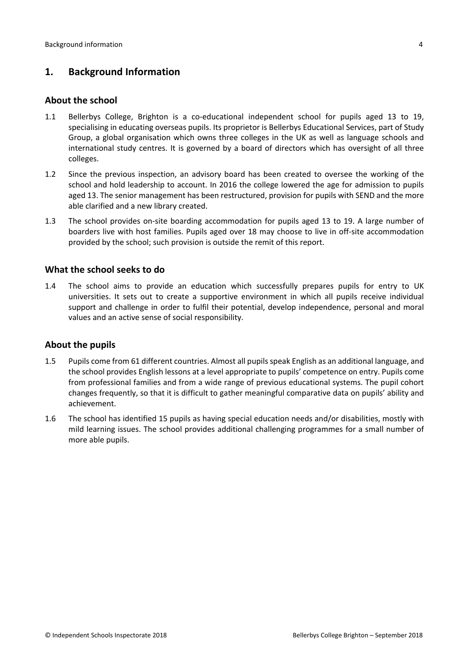## <span id="page-3-0"></span>**1. Background Information**

#### <span id="page-3-1"></span>**About the school**

- 1.1 Bellerbys College, Brighton is a co-educational independent school for pupils aged 13 to 19, specialising in educating overseas pupils. Its proprietor is Bellerbys Educational Services, part of Study Group, a global organisation which owns three colleges in the UK as well as language schools and international study centres. It is governed by a board of directors which has oversight of all three colleges.
- 1.2 Since the previous inspection, an advisory board has been created to oversee the working of the school and hold leadership to account. In 2016 the college lowered the age for admission to pupils aged 13. The senior management has been restructured, provision for pupils with SEND and the more able clarified and a new library created.
- 1.3 The school provides on-site boarding accommodation for pupils aged 13 to 19. A large number of boarders live with host families. Pupils aged over 18 may choose to live in off-site accommodation provided by the school; such provision is outside the remit of this report.

#### <span id="page-3-2"></span>**What the school seeks to do**

1.4 The school aims to provide an education which successfully prepares pupils for entry to UK universities. It sets out to create a supportive environment in which all pupils receive individual support and challenge in order to fulfil their potential, develop independence, personal and moral values and an active sense of social responsibility.

#### <span id="page-3-3"></span>**About the pupils**

- 1.5 Pupils come from 61 different countries. Almost all pupils speak English as an additional language, and the school provides English lessons at a level appropriate to pupils' competence on entry. Pupils come from professional families and from a wide range of previous educational systems. The pupil cohort changes frequently, so that it is difficult to gather meaningful comparative data on pupils' ability and achievement.
- 1.6 The school has identified 15 pupils as having special education needs and/or disabilities, mostly with mild learning issues. The school provides additional challenging programmes for a small number of more able pupils.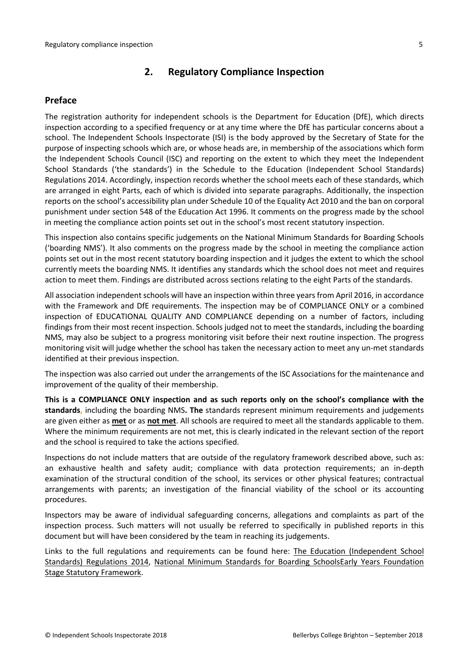## <span id="page-4-0"></span>**2. Regulatory Compliance Inspection**

#### <span id="page-4-1"></span>**Preface**

The registration authority for independent schools is the Department for Education (DfE), which directs inspection according to a specified frequency or at any time where the DfE has particular concerns about a school. The Independent Schools Inspectorate (ISI) is the body approved by the Secretary of State for the purpose of inspecting schools which are, or whose heads are, in membership of the associations which form the Independent Schools Council (ISC) and reporting on the extent to which they meet the Independent School Standards ('the standards') in the Schedule to the Education (Independent School Standards) Regulations 2014. Accordingly, inspection records whether the school meets each of these standards, which are arranged in eight Parts, each of which is divided into separate paragraphs. Additionally, the inspection reports on the school's accessibility plan under Schedule 10 of the Equality Act 2010 and the ban on corporal punishment under section 548 of the Education Act 1996. It comments on the progress made by the school in meeting the compliance action points set out in the school's most recent statutory inspection.

This inspection also contains specific judgements on the National Minimum Standards for Boarding Schools ('boarding NMS'). It also comments on the progress made by the school in meeting the compliance action points set out in the most recent statutory boarding inspection and it judges the extent to which the school currently meets the boarding NMS. It identifies any standards which the school does not meet and requires action to meet them. Findings are distributed across sections relating to the eight Parts of the standards.

All association independent schools will have an inspection within three yearsfrom April 2016, in accordance with the Framework and DfE requirements. The inspection may be of COMPLIANCE ONLY or a combined inspection of EDUCATIONAL QUALITY AND COMPLIANCE depending on a number of factors, including findings from their most recent inspection. Schools judged not to meet the standards, including the boarding NMS, may also be subject to a progress monitoring visit before their next routine inspection. The progress monitoring visit will judge whether the school has taken the necessary action to meet any un-met standards identified at their previous inspection.

The inspection was also carried out under the arrangements of the ISC Associations for the maintenance and improvement of the quality of their membership.

**This is a COMPLIANCE ONLY inspection and as such reports only on the school's compliance with the standards,** including the boarding NMS**. The** standards represent minimum requirements and judgements are given either as **met** or as **not met**. All schools are required to meet all the standards applicable to them. Where the minimum requirements are not met, this is clearly indicated in the relevant section of the report and the school is required to take the actions specified.

Inspections do not include matters that are outside of the regulatory framework described above, such as: an exhaustive health and safety audit; compliance with data protection requirements; an in-depth examination of the structural condition of the school, its services or other physical features; contractual arrangements with parents; an investigation of the financial viability of the school or its accounting procedures.

Inspectors may be aware of individual safeguarding concerns, allegations and complaints as part of the inspection process. Such matters will not usually be referred to specifically in published reports in this document but will have been considered by the team in reaching its judgements.

Links to the full regulations and requirements can be found here: The Education [\(Independent](http://www.legislation.gov.uk/uksi/2014/3283/contents/made) School Standards) [Regulations](http://www.legislation.gov.uk/uksi/2014/3283/contents/made) 2014, National Minimum [Standards](https://www.gov.uk/government/uploads/system/uploads/attachment_data/file/416186/20150319_nms_bs_standards.pdf) for Boarding SchoolsEarly Years [Foundation](https://www.gov.uk/government/publications/early-years-foundation-stage-framework--2) Stage Statutory [Framework.](https://www.gov.uk/government/publications/early-years-foundation-stage-framework--2)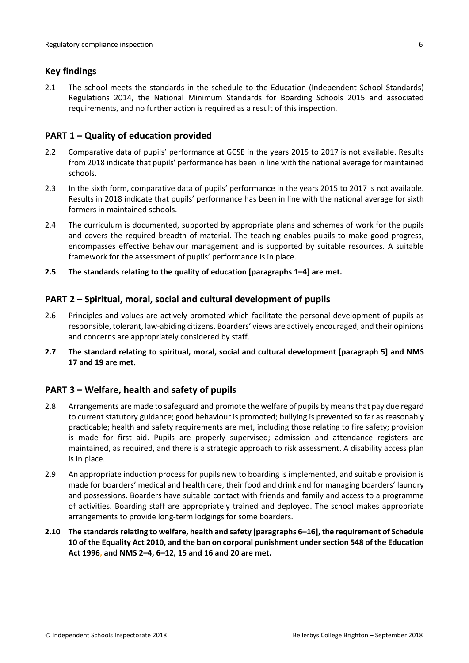#### <span id="page-5-0"></span>**Key findings**

2.1 The school meets the standards in the schedule to the Education (Independent School Standards) Regulations 2014, the National Minimum Standards for Boarding Schools 2015 and associated requirements, and no further action is required as a result of this inspection.

#### <span id="page-5-1"></span>**PART 1 – Quality of education provided**

- 2.2 Comparative data of pupils' performance at GCSE in the years 2015 to 2017 is not available. Results from 2018 indicate that pupils' performance has been in line with the national average for maintained schools.
- 2.3 In the sixth form, comparative data of pupils' performance in the years 2015 to 2017 is not available. Results in 2018 indicate that pupils' performance has been in line with the national average for sixth formers in maintained schools.
- 2.4 The curriculum is documented, supported by appropriate plans and schemes of work for the pupils and covers the required breadth of material. The teaching enables pupils to make good progress, encompasses effective behaviour management and is supported by suitable resources. A suitable framework for the assessment of pupils' performance is in place.
- **2.5 The standards relating to the quality of education [paragraphs 1–4] are met.**

#### <span id="page-5-2"></span>**PART 2 – Spiritual, moral, social and cultural development of pupils**

- 2.6 Principles and values are actively promoted which facilitate the personal development of pupils as responsible, tolerant, law-abiding citizens. Boarders' views are actively encouraged, and their opinions and concerns are appropriately considered by staff.
- **2.7 The standard relating to spiritual, moral, social and cultural development [paragraph 5] and NMS 17 and 19 are met.**

### <span id="page-5-3"></span>**PART 3 – Welfare, health and safety of pupils**

- 2.8 Arrangements are made to safeguard and promote the welfare of pupils by meansthat pay due regard to current statutory guidance; good behaviour is promoted; bullying is prevented so far as reasonably practicable; health and safety requirements are met, including those relating to fire safety; provision is made for first aid. Pupils are properly supervised; admission and attendance registers are maintained, as required, and there is a strategic approach to risk assessment. A disability access plan is in place.
- 2.9 An appropriate induction process for pupils new to boarding is implemented, and suitable provision is made for boarders' medical and health care, their food and drink and for managing boarders' laundry and possessions. Boarders have suitable contact with friends and family and access to a programme of activities. Boarding staff are appropriately trained and deployed. The school makes appropriate arrangements to provide long-term lodgings for some boarders.
- **2.10 The standardsrelating to welfare, health and safety [paragraphs 6–16], the requirement of Schedule 10 of the Equality Act 2010, and the ban on corporal punishment undersection 548 of the Education Act 1996, and NMS 2–4, 6–12, 15 and 16 and 20 are met.**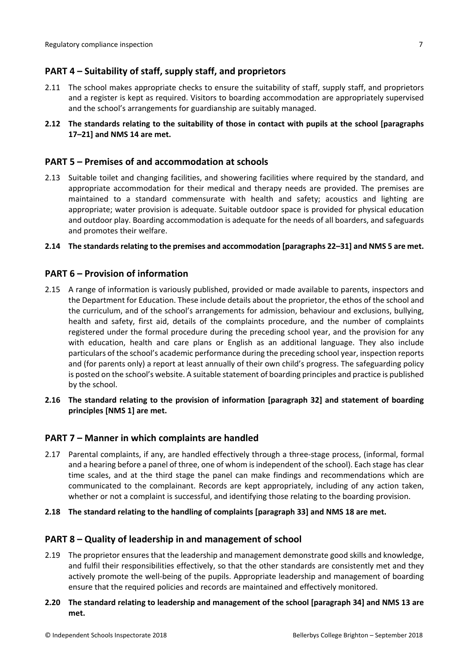## <span id="page-6-0"></span>**PART 4 – Suitability of staff, supply staff, and proprietors**

- 2.11 The school makes appropriate checks to ensure the suitability of staff, supply staff, and proprietors and a register is kept as required. Visitors to boarding accommodation are appropriately supervised and the school's arrangements for guardianship are suitably managed.
- **2.12 The standards relating to the suitability of those in contact with pupils at the school [paragraphs 17–21] and NMS 14 are met.**

#### <span id="page-6-1"></span>**PART 5 – Premises of and accommodation at schools**

2.13 Suitable toilet and changing facilities, and showering facilities where required by the standard, and appropriate accommodation for their medical and therapy needs are provided. The premises are maintained to a standard commensurate with health and safety; acoustics and lighting are appropriate; water provision is adequate. Suitable outdoor space is provided for physical education and outdoor play. Boarding accommodation is adequate for the needs of all boarders, and safeguards and promotes their welfare.

#### **2.14 The standardsrelating to the premises and accommodation [paragraphs 22–31] and NMS 5 are met.**

#### <span id="page-6-2"></span>**PART 6 – Provision of information**

- 2.15 A range of information is variously published, provided or made available to parents, inspectors and the Department for Education. These include details about the proprietor, the ethos of the school and the curriculum, and of the school's arrangements for admission, behaviour and exclusions, bullying, health and safety, first aid, details of the complaints procedure, and the number of complaints registered under the formal procedure during the preceding school year, and the provision for any with education, health and care plans or English as an additional language. They also include particulars of the school's academic performance during the preceding school year, inspection reports and (for parents only) a report at least annually of their own child's progress. The safeguarding policy is posted on the school's website. A suitable statement of boarding principles and practice is published by the school.
- **2.16 The standard relating to the provision of information [paragraph 32] and statement of boarding principles [NMS 1] are met.**

#### <span id="page-6-3"></span>**PART 7 – Manner in which complaints are handled**

- 2.17 Parental complaints, if any, are handled effectively through a three-stage process, (informal, formal and a hearing before a panel of three, one of whom is independent of the school). Each stage has clear time scales, and at the third stage the panel can make findings and recommendations which are communicated to the complainant. Records are kept appropriately, including of any action taken, whether or not a complaint is successful, and identifying those relating to the boarding provision.
- **2.18 The standard relating to the handling of complaints [paragraph 33] and NMS 18 are met.**

#### <span id="page-6-4"></span>**PART 8 – Quality of leadership in and management of school**

- 2.19 The proprietor ensures that the leadership and management demonstrate good skills and knowledge, and fulfil their responsibilities effectively, so that the other standards are consistently met and they actively promote the well-being of the pupils. Appropriate leadership and management of boarding ensure that the required policies and records are maintained and effectively monitored.
- **2.20 The standard relating to leadership and management of the school [paragraph 34] and NMS 13 are met.**